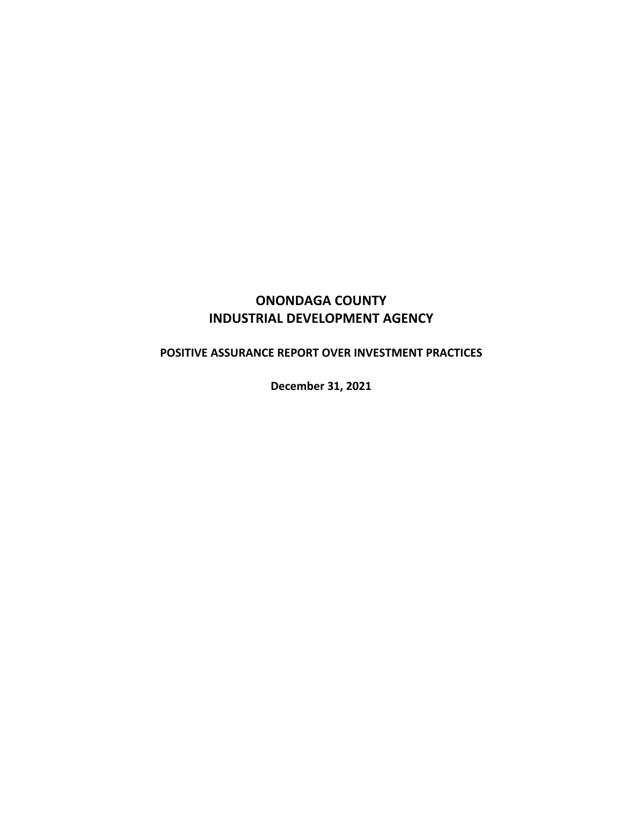# **ONONDAGA COUNTY INDUSTRIAL DEVELOPMENT AGENCY**

# **POSITIVE ASSURANCE REPORT OVER INVESTMENT PRACTICES**

**December 31, 2021**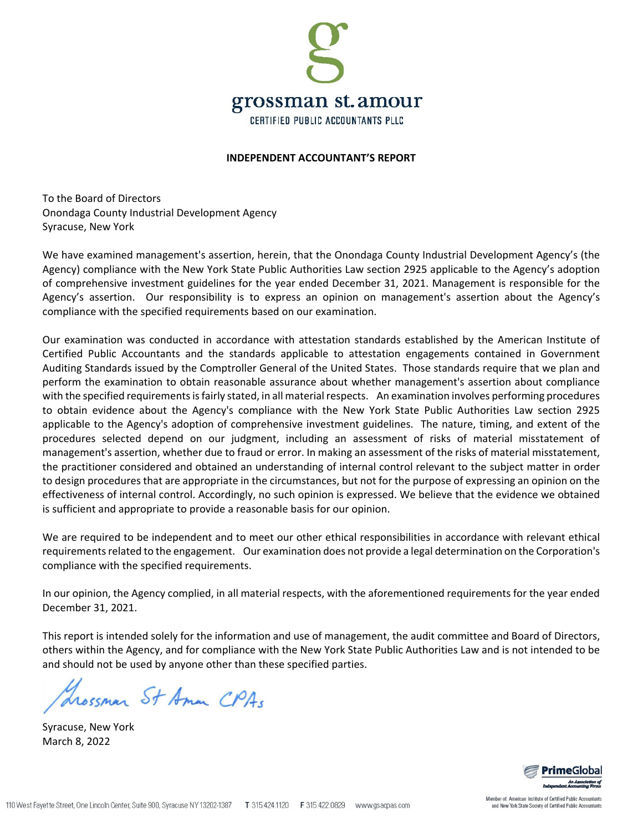

#### **INDEPENDENT ACCOUNTANT'S REPORT**

To the Board of Directors Onondaga County Industrial Development Agency Syracuse, New York

We have examined management's assertion, herein, that the Onondaga County Industrial Development Agency's (the Agency) compliance with the New York State Public Authorities Law section 2925 applicable to the Agency's adoption of comprehensive investment guidelines for the year ended December 31, 2021. Management is responsible for the Agency's assertion. Our responsibility is to express an opinion on management's assertion about the Agency's compliance with the specified requirements based on our examination.

Our examination was conducted in accordance with attestation standards established by the American Institute of Certified Public Accountants and the standards applicable to attestation engagements contained in Government Auditing Standards issued by the Comptroller General of the United States. Those standards require that we plan and perform the examination to obtain reasonable assurance about whether management's assertion about compliance with the specified requirements is fairly stated, in all material respects. An examination involves performing procedures to obtain evidence about the Agency's compliance with the New York State Public Authorities Law section 2925 applicable to the Agency's adoption of comprehensive investment guidelines. The nature, timing, and extent of the procedures selected depend on our judgment, including an assessment of risks of material misstatement of management's assertion, whether due to fraud or error. In making an assessment of the risks of material misstatement, the practitioner considered and obtained an understanding of internal control relevant to the subject matter in order to design procedures that are appropriate in the circumstances, but not for the purpose of expressing an opinion on the effectiveness of internal control. Accordingly, no such opinion is expressed. We believe that the evidence we obtained is sufficient and appropriate to provide a reasonable basis for our opinion.

We are required to be independent and to meet our other ethical responsibilities in accordance with relevant ethical requirements related to the engagement. Our examination does not provide a legal determination on the Corporation's compliance with the specified requirements.

In our opinion, the Agency complied, in all material respects, with the aforementioned requirements for the year ended December 31, 2021.

This report is intended solely for the information and use of management, the audit committee and Board of Directors, others within the Agency, and for compliance with the New York State Public Authorities Law and is not intended to be and should not be used by anyone other than these specified parties.

Grossmar St Aman CPAs

Syracuse, New York March 8, 2022

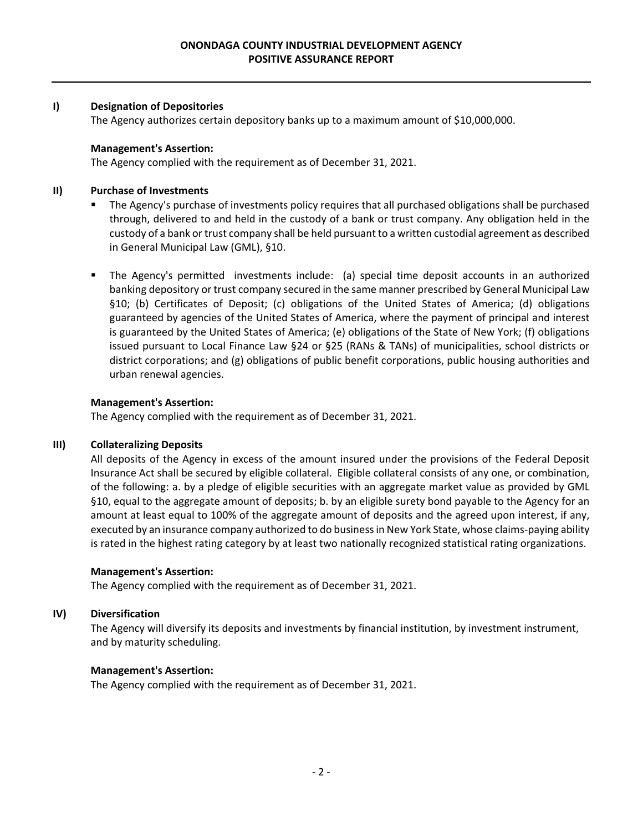#### **I) Designation of Depositories**

The Agency authorizes certain depository banks up to a maximum amount of \$10,000,000.

#### **Management's Assertion:**

The Agency complied with the requirement as of December 31, 2021.

## **II) Purchase of Investments**

- The Agency's purchase of investments policy requires that all purchased obligations shall be purchased through, delivered to and held in the custody of a bank or trust company. Any obligation held in the custody of a bank or trust company shall be held pursuant to a written custodial agreement as described in General Municipal Law (GML), §10.
- The Agency's permitted investments include: (a) special time deposit accounts in an authorized banking depository or trust company secured in the same manner prescribed by General Municipal Law §10; (b) Certificates of Deposit; (c) obligations of the United States of America; (d) obligations guaranteed by agencies of the United States of America, where the payment of principal and interest is guaranteed by the United States of America; (e) obligations of the State of New York; (f) obligations issued pursuant to Local Finance Law §24 or §25 (RANs & TANs) of municipalities, school districts or district corporations; and (g) obligations of public benefit corporations, public housing authorities and urban renewal agencies.

## **Management's Assertion:**

The Agency complied with the requirement as of December 31, 2021.

## **III) Collateralizing Deposits**

All deposits of the Agency in excess of the amount insured under the provisions of the Federal Deposit Insurance Act shall be secured by eligible collateral. Eligible collateral consists of any one, or combination, of the following: a. by a pledge of eligible securities with an aggregate market value as provided by GML §10, equal to the aggregate amount of deposits; b. by an eligible surety bond payable to the Agency for an amount at least equal to 100% of the aggregate amount of deposits and the agreed upon interest, if any, executed by an insurance company authorized to do businessin New York State, whose claims‐paying ability is rated in the highest rating category by at least two nationally recognized statistical rating organizations.

## **Management's Assertion:**

The Agency complied with the requirement as of December 31, 2021.

## **IV) Diversification**

The Agency will diversify its deposits and investments by financial institution, by investment instrument, and by maturity scheduling.

## **Management's Assertion:**

The Agency complied with the requirement as of December 31, 2021.